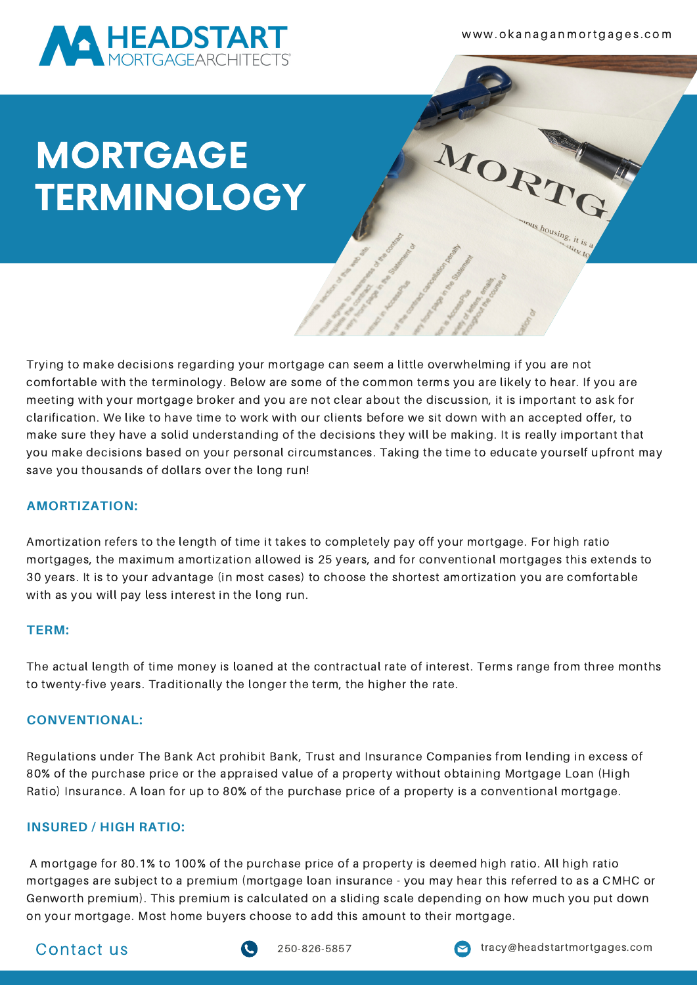

w w w . o k a n a g a n m o rt g a g e s . c o m

MORT

# MORTGAGE **TERMINOLOGY**

Trying to make decisions regarding your mortgage can seem a little overwhelming if you are not comfortable with the terminology. Below are some of the common terms you are likely to hear. If you are meeting with your mortgage broker and you are not clear about the discussion, it is important to ask for clarification. We like to have time to work with our clients before we sit down with an accepted offer, to make sure they have a solid understanding of the decisions they will be making. It is really important that you make decisions based on your personal circumstances. Taking the time to educate yourself upfront may save you thousands of dollars over the long run!

## **AMORTIZATION:**

Amortization refers to the length of time it takes to completely pay off your mortgage. For high ratio mortgages, the maximum amortization allowed is 25 years, and for conventional mortgages this extends to 30 years. It is to your advantage (in most cases) to choose the shortest amortization you are comfortable with as you will pay less interest in the long run.

#### **TERM:**

The actual length of time money is loaned at the contractual rate of interest. Terms range from three months to twenty-five years. Traditionally the longer the term, the higher the rate.

#### **CONVENTIONAL:**

Regulations under The Bank Act prohibit Bank, Trust and Insurance Companies from lending in excess of 80% of the purchase price or the appraised value of a property without obtaining Mortgage Loan (High Ratio) Insurance. A loan for up to 80% of the purchase price of a property is a conventional mortgage.

## **INSURED / HIGH RATIO:**

A mortgage for 80.1% to 100% of the purchase price of a property is deemed high ratio. All high ratio mortgages are subject to a premium (mortgage loan insurance - you may hear this referred to as a CMHC or Genworth premium). This premium is calculated on a sliding scale depending on how much you put down on your mortgage. Most home buyers choose to add this amount to their mortgage.



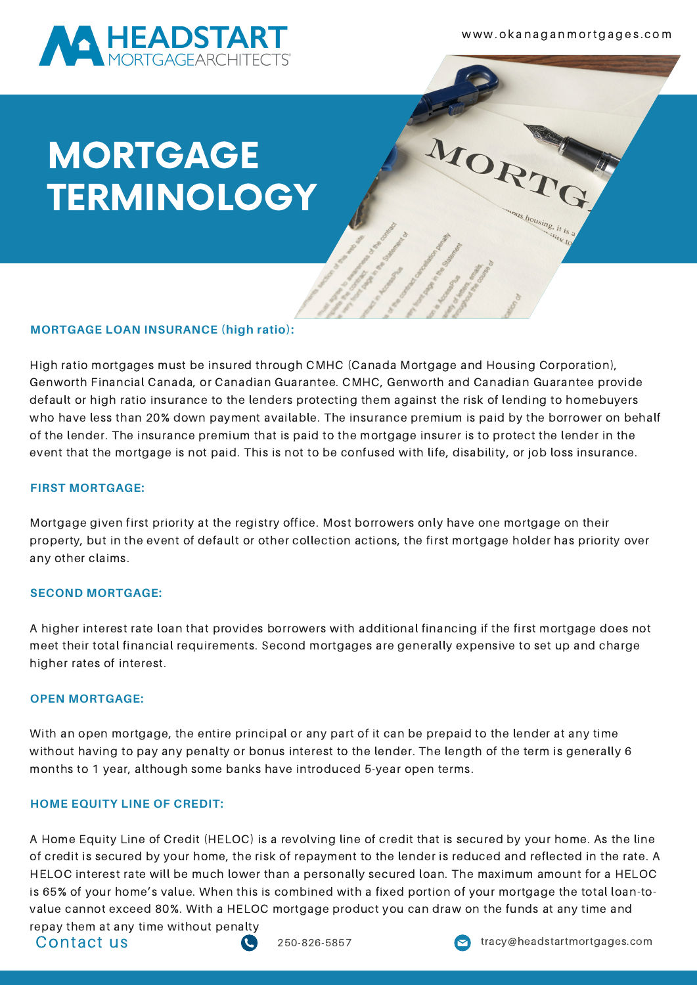

w w w . o k a n a g a n m o rt g a g e s . c o m

MORT

# MORTGAGE **TERMINOLOGY**

## **MORTGAGE LOAN INSURANCE (high ratio):**

High ratio mortgages must be insured through CMHC (Canada Mortgage and Housing Corporation), Genworth Financial Canada, or Canadian Guarantee. CMHC, Genworth and Canadian Guarantee provide default or high ratio insurance to the lenders protecting them against the risk of lending to homebuyers who have less than 20% down payment available. The insurance premium is paid by the borrower on behalf of the lender. The insurance premium that is paid to the mortgage insurer is to protect the lender in the event that the mortgage is not paid. This is not to be confused with life, disability, or job loss insurance.

### **FIRST MORTGAGE:**

Mortgage given first priority at the registry office. Most borrowers only have one mortgage on their property, but in the event of default or other collection actions, the first mortgage holder has priority over any other claims.

#### **SECOND MORTGAGE:**

A higher interest rate loan that provides borrowers with additional financing if the first mortgage does not meet their total financial requirements. Second mortgages are generally expensive to set up and charge higher rates of interest.

#### **OPEN MORTGAGE:**

With an open mortgage, the entire principal or any part of it can be prepaid to the lender at any time without having to pay any penalty or bonus interest to the lender. The length of the term is generally 6 months to 1 year, although some banks have introduced 5-year open terms.

#### **HOME EQUITY LINE OF CREDIT:**

A Home Equity Line of Credit (HELOC) is a revolving line of credit that is secured by your home. As the line of credit is secured by your home, the risk of repayment to the lender is reduced and reflected in the rate. A HELOC interest rate will be much lower than a personally secured loan. The maximum amount for a HELOC is 65% of your home's value. When this is combined with a fixed portion of your mortgage the total loan-tovalue cannot exceed 80%. With a HELOC mortgage product you can draw on the funds at any time and

repay them at any time without penalty